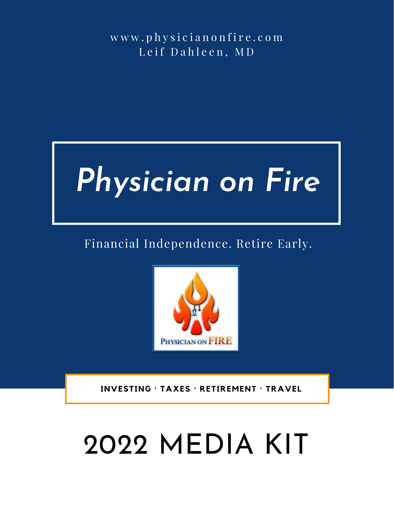w w w . p h y s i c i a n o n f i r e . c o m Leif Dahleen, MD



### Financial Independence. Retire Early.



 **INVESTING · TAXES · RETIREMENT · TRAVEL**

# 2022 MEDIA KIT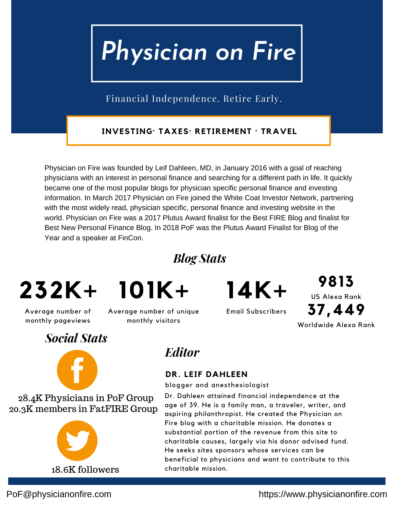Financial Independence. Retire Early.

**INVESTING· TAXES· RETIREMENT · TRAVEL**

Physician on Fire was founded by Leif Dahleen, MD, in January 2016 with a goal of reaching physicians with an interest in personal finance and searching for a different path in life. It quickly became one of the most popular blogs for physician specific personal finance and investing information. In March 2017 Physician on Fire joined the White Coat Investor Network, partnering with the most widely read, physician specific, personal finance and investing website in the world. Physician on Fire was a 2017 Plutus Award finalist for the Best FIRE Blog and finalist for Best New Personal Finance Blog. In 2018 PoF was the Plutus Award Finalist for Blog of the Year and a speaker at FinCon.

*Blog Stats*

## **232K+ 101K+**

Average number of monthly pageviews

Average number of unique monthly visitors

Email Subscribers **14K+**

US Alexa Rank **9813** Worldwide Alexa Rank **37,449**

### *Social Stats*



28.4K Physicians in PoF Group 20.3K members in FatFIRE Group



*Editor*

#### **DR. LEIF DAHLEEN**

blogger and anesthesiologist

Dr. Dahleen attained financial independence at the age of 39. He is a family man, a traveler, writer, and aspiring philanthropist. He created the Physician on Fire blog with a charitable mission. He donates a substantial portion of the revenue from this site to charitable causes, largely via his donor advised fund. He seeks sites sponsors whose services can be beneficial to physicians and want to contribute to this charitable mission.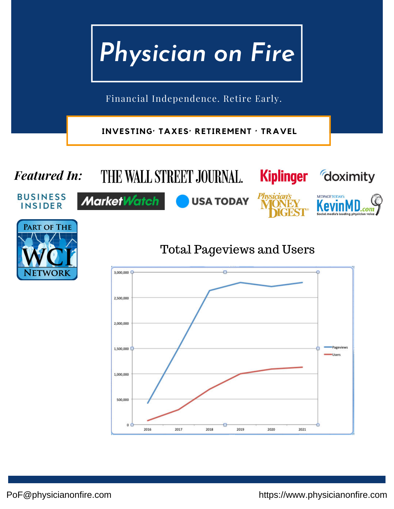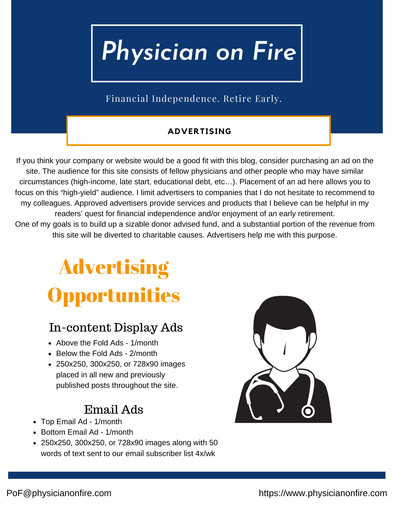Financial Independence. Retire Early.

#### **ADVERTISING**

If you think your company or website would be a good fit with this blog, consider purchasing an ad on the site. The audience for this site consists of fellow physicians and other people who may have similar circumstances (high-income, late start, educational debt, etc…). Placement of an ad here allows you to focus on this "high-yield" audience. I limit advertisers to companies that I do not hesitate to recommend to my colleagues. Approved advertisers provide services and products that I believe can be helpful in my readers' quest for financial independence and/or enjoyment of an early retirement. One of my goals is to build up a sizable donor advised fund, and a substantial portion of the revenue from this site will be diverted to charitable causes. Advertisers help me with this purpose.

## **Advertising Opportunities**

### In-content Display Ads

- Above the Fold Ads 1/month
- Below the Fold Ads 2/month
- 250x250, 300x250, or 728x90 images placed in all new and previously published posts throughout the site.

### Email Ads

- Top Email Ad 1/month
- Bottom Email Ad 1/month
- 250x250, 300x250, or 728x90 images along with 50 words of text sent to our email subscriber list 4x/wk

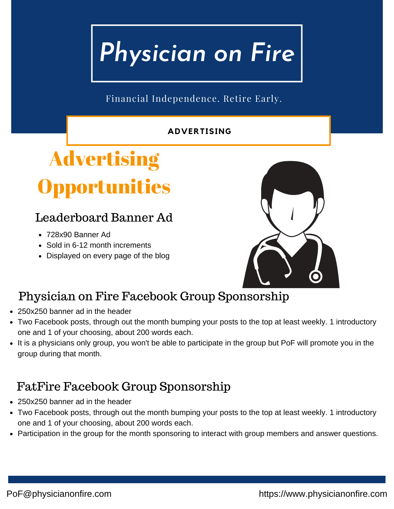Financial Independence. Retire Early.

#### **ADVERTISING**

## Advertising pportunities

### Leaderboard Banner Ad

- 728x90 Banner Ad
- Sold in 6-12 month increments
- Displayed on every page of the blog



### Physician on Fire Facebook Group Sponsorship

- 250x250 banner ad in the header
- Two Facebook posts, through out the month bumping your posts to the top at least weekly. 1 introductory one and 1 of your choosing, about 200 words each.
- It is a physicians only group, you won't be able to participate in the group but PoF will promote you in the group during that month.

### FatFire Facebook Group Sponsorship

- 250x250 banner ad in the header
- Two Facebook posts, through out the month bumping your posts to the top at least weekly. 1 introductory one and 1 of your choosing, about 200 words each.
- Participation in the group for the month sponsoring to interact with group members and answer questions.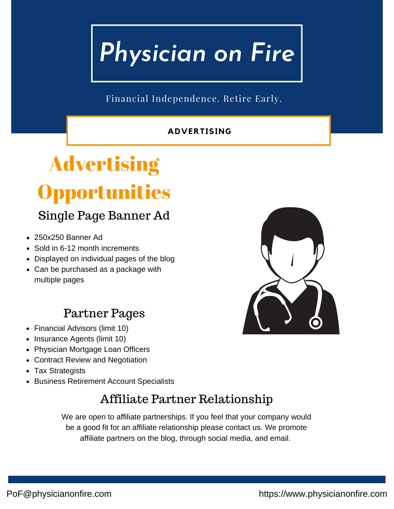Financial Independence. Retire Early.

#### **ADVERTISING**

## **Advertising** Opportunities Single Page Banner Ad

- 250x250 Banner Ad
- Sold in 6-12 month increments
- Displayed on individual pages of the blog
- Can be purchased as a package with multiple pages

### Partner Pages

- Financial Advisors (limit 10)
- Insurance Agents (limit 10)
- Physician Mortgage Loan Officers
- Contract Review and Negotiation
- Tax Strategists
- Business Retirement Account Specialists

### Affiliate Partner Relationship

We are open to affiliate partnerships. If you feel that your company would be a good fit for an affiliate relationship please contact us. We promote affiliate partners on the blog, through social media, and email.

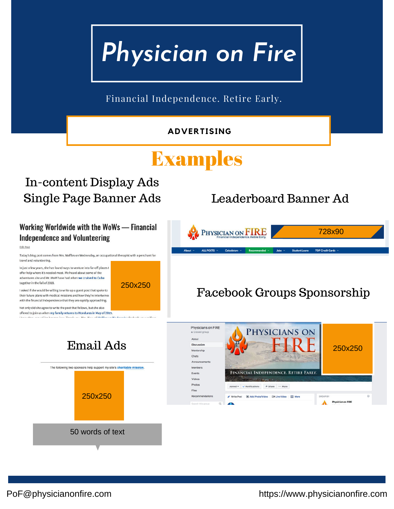#### *Physician on Fire* Financial Independence. Retire Early. **ADVERTISING** Examples In-content Display Ads Single Page Banner Ads Leaderboard Banner Ad Working Worldwide with the WoWs - Financial PHYSICIAN ON FIRE 728x90 **Independence and Volunteering** Edit Post Today's blog post comes from Mrs. Waffles on Wednesday, an occupational therapist with a penchant for travel and volunteering. In just a few years, she has found ways to venture into far-off places t offer help where it's needed most. We heard about some of the adventures she and Mr. WoW have had when we cruised to Cuba together in the fall of 2018. 250x250 Facebook Groups Sponsorship I asked if she would be willing to write up a guest post that spoke to their future plans with medical missions and how they're intertwined with the financial independence that they are rapidly approaching. Not only did she agree to write the post that follows, but she also offered to join us when my family returns to Honduras in May of 2019. Physicians on FIRE PHYSICIANS ON About Email Ads Discussio 250x250Mentorship Chats Announcements The following two sponsors help support my site's charitable mission. Members FINANCIAL INDEPENDENCE. RETIRE EARLY. Events Videos Photos ed =  $\sqrt{\phantom{a}}$  Notifications  $\cdots$   $\frac{1}{2}$  Share  $\cdots$  More 250x250 Write Post | Add Photo/Video | Di Live Video | 00 More A

50 words of text

PoF@physicianonfire.com https://www.physicianonfire.com